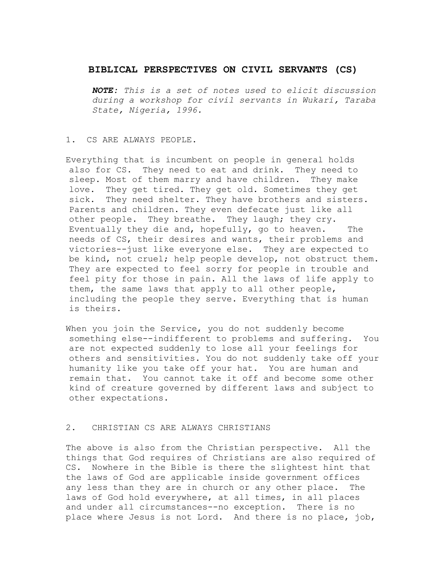# **BIBLICAL PERSPECTIVES ON CIVIL SERVANTS (CS)**

*NOTE: This is a set of notes used to elicit discussion during a workshop for civil servants in Wukari, Taraba State, Nigeria, 1996.*

#### 1. CS ARE ALWAYS PEOPLE.

Everything that is incumbent on people in general holds also for CS. They need to eat and drink. They need to sleep. Most of them marry and have children. They make love. They get tired. They get old. Sometimes they get sick. They need shelter. They have brothers and sisters. Parents and children. They even defecate just like all other people. They breathe. They laugh; they cry. Eventually they die and, hopefully, go to heaven. The needs of CS, their desires and wants, their problems and victories--just like everyone else. They are expected to be kind, not cruel; help people develop, not obstruct them. They are expected to feel sorry for people in trouble and feel pity for those in pain. All the laws of life apply to them, the same laws that apply to all other people, including the people they serve. Everything that is human is theirs.

When you join the Service, you do not suddenly become something else--indifferent to problems and suffering. You are not expected suddenly to lose all your feelings for others and sensitivities. You do not suddenly take off your humanity like you take off your hat. You are human and remain that. You cannot take it off and become some other kind of creature governed by different laws and subject to other expectations.

# 2. CHRISTIAN CS ARE ALWAYS CHRISTIANS

The above is also from the Christian perspective. All the things that God requires of Christians are also required of CS. Nowhere in the Bible is there the slightest hint that the laws of God are applicable inside government offices any less than they are in church or any other place. The laws of God hold everywhere, at all times, in all places and under all circumstances--no exception. There is no place where Jesus is not Lord. And there is no place, job,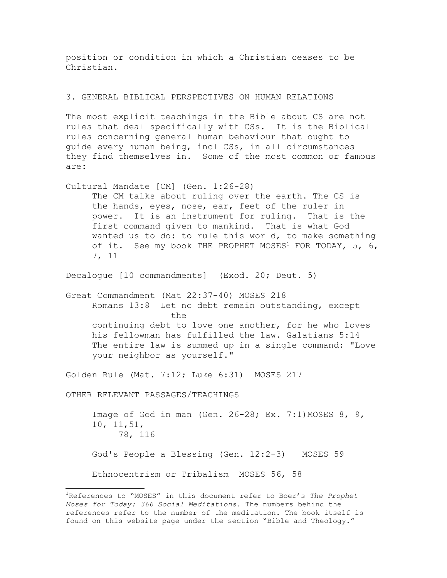position or condition in which a Christian ceases to be Christian.

### 3. GENERAL BIBLICAL PERSPECTIVES ON HUMAN RELATIONS

The most explicit teachings in the Bible about CS are not rules that deal specifically with CSs. It is the Biblical rules concerning general human behaviour that ought to guide every human being, incl CSs, in all circumstances they find themselves in. Some of the most common or famous are:

Cultural Mandate [CM] (Gen. 1:26-28) The CM talks about ruling over the earth. The CS is the hands, eyes, nose, ear, feet of the ruler in power. It is an instrument for ruling. That is the first command given to mankind. That is what God wanted us to do: to rule this world, to make something of it. See my book THE PROPHET MOSES<sup>[1](#page-1-0)</sup> FOR TODAY,  $5, 6,$ 7, 11

Decalogue [10 commandments] (Exod. 20; Deut. 5)

Great Commandment (Mat 22:37-40) MOSES 218 Romans 13:8 Let no debt remain outstanding, except the continuing debt to love one another, for he who loves his fellowman has fulfilled the law. Galatians 5:14 The entire law is summed up in a single command: "Love your neighbor as yourself."

Golden Rule (Mat. 7:12; Luke 6:31) MOSES 217

OTHER RELEVANT PASSAGES/TEACHINGS

Image of God in man (Gen. 26-28; Ex. 7:1) MOSES 8, 9, 10, 11,51, 78, 116 God's People a Blessing (Gen. 12:2-3) MOSES 59 Ethnocentrism or Tribalism MOSES 56, 58

<span id="page-1-0"></span><sup>1</sup>References to "MOSES" in this document refer to Boer's *The Prophet Moses for Today: 366 Social Meditations.* The numbers behind the references refer to the number of the meditation. The book itself is found on this website page under the section "Bible and Theology."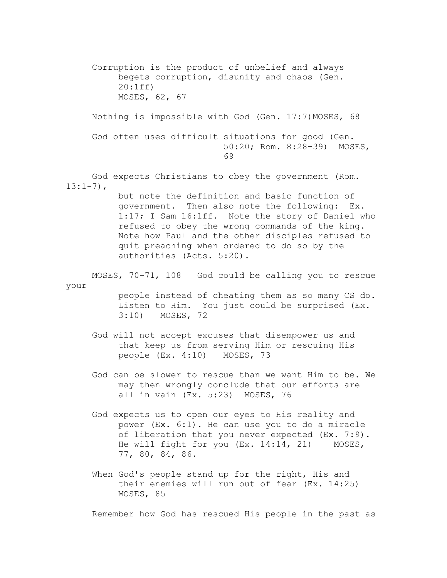Corruption is the product of unbelief and always begets corruption, disunity and chaos (Gen. 20:1ff) MOSES, 62, 67

Nothing is impossible with God (Gen. 17:7) MOSES, 68

God often uses difficult situations for good (Gen. 50:20; Rom. 8:28-39) MOSES, 69

God expects Christians to obey the government (Rom.  $13:1-7$ ),

> but note the definition and basic function of government. Then also note the following: Ex. 1:17; I Sam 16:1ff. Note the story of Daniel who refused to obey the wrong commands of the king. Note how Paul and the other disciples refused to quit preaching when ordered to do so by the authorities (Acts. 5:20).

MOSES, 70-71, 108 God could be calling you to rescue your

people instead of cheating them as so many CS do. Listen to Him. You just could be surprised (Ex. 3:10) MOSES, 72

- God will not accept excuses that disempower us and that keep us from serving Him or rescuing His people (Ex. 4:10) MOSES, 73
- God can be slower to rescue than we want Him to be. We may then wrongly conclude that our efforts are all in vain (Ex. 5:23) MOSES, 76
- God expects us to open our eyes to His reality and power (Ex. 6:1). He can use you to do a miracle of liberation that you never expected (Ex. 7:9). He will fight for you (Ex. 14:14, 21) MOSES, 77, 80, 84, 86.
- When God's people stand up for the right, His and their enemies will run out of fear (Ex. 14:25) MOSES, 85

Remember how God has rescued His people in the past as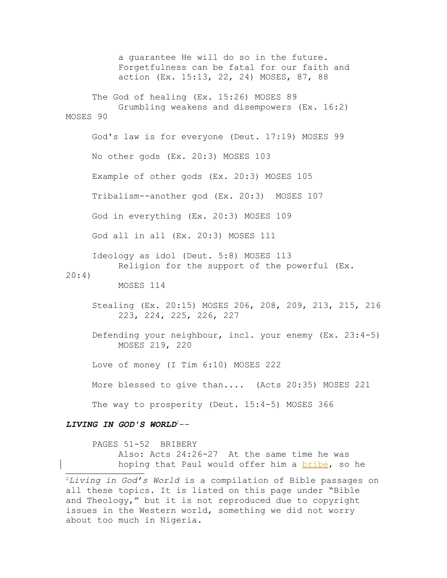a guarantee He will do so in the future. Forgetfulness can be fatal for our faith and action (Ex. 15:13, 22, 24) MOSES, 87, 88 The God of healing (Ex. 15:26) MOSES 89 Grumbling weakens and disempowers (Ex. 16:2) MOSES 90 God's law is for everyone (Deut. 17:19) MOSES 99 No other gods (Ex. 20:3) MOSES 103 Example of other gods (Ex. 20:3) MOSES 105 Tribalism--another god (Ex. 20:3) MOSES 107 God in everything (Ex. 20:3) MOSES 109 God all in all (Ex. 20:3) MOSES 111 Ideology as idol (Deut. 5:8) MOSES 113 Religion for the support of the powerful (Ex. 20:4) MOSES 114 Stealing (Ex. 20:15) MOSES 206, 208, 209, 213, 215, 216 223, 224, 225, 226, 227 Defending your neighbour, incl. your enemy (Ex. 23:4-5) MOSES 219, 220 Love of money (I Tim 6:10) MOSES 222 More blessed to give than.... (Acts 20:35) MOSES 221 The way to prosperity (Deut. 15:4-5) MOSES 366 *LIVING IN GOD'S WORLD*[2](#page-3-0)--

PAGES 51-52 BRIBERY Also: Acts 24:26-27 At the same time he was hoping that Paul would offer him a bribe, so he

<span id="page-3-0"></span><sup>2</sup>*Living in God's World* is a compilation of Bible passages on all these topics. It is listed on this page under "Bible and Theology," but it is not reproduced due to copyright issues in the Western world, something we did not worry about too much in Nigeria.